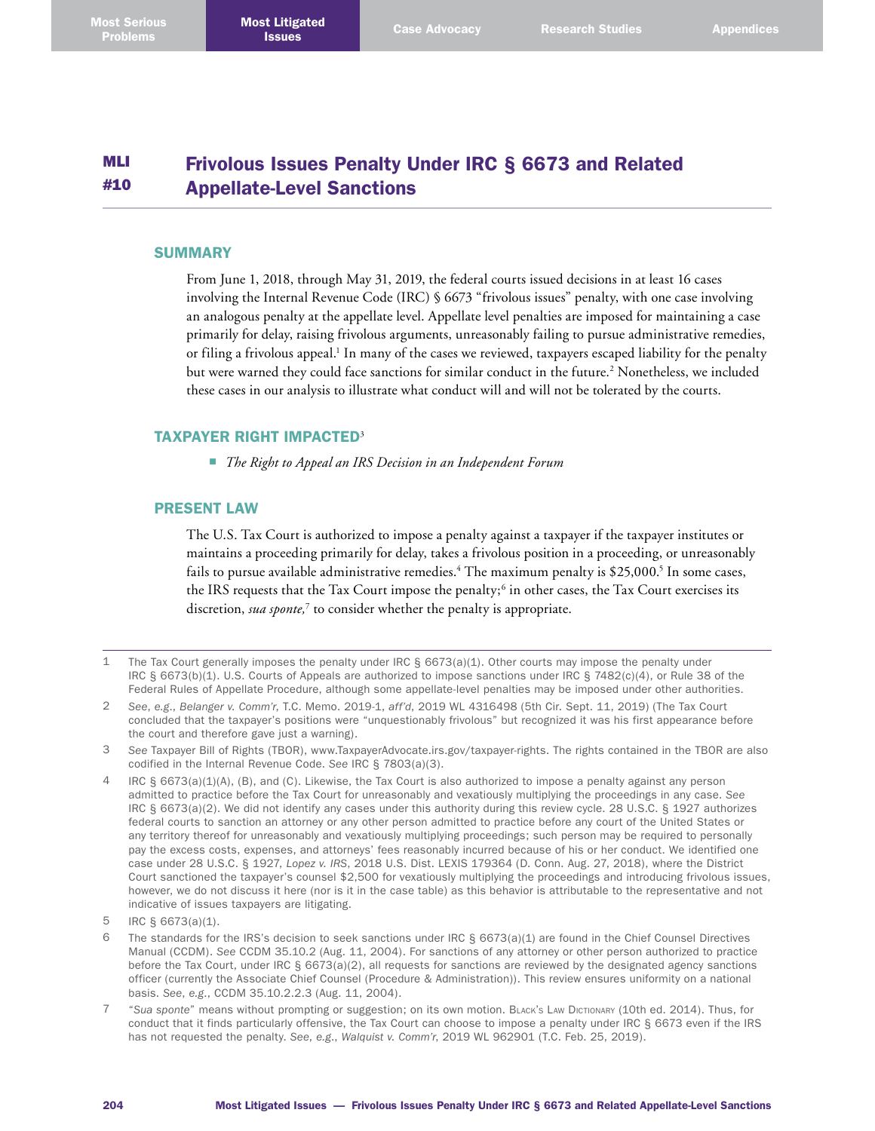#### MLI #10 Frivolous Issues Penalty Under IRC § 6673 and Related Appellate-Level Sanctions

#### **SUMMARY**

From June 1, 2018, through May 31, 2019, the federal courts issued decisions in at least 16 cases involving the Internal Revenue Code (IRC) § 6673 "frivolous issues" penalty, with one case involving an analogous penalty at the appellate level. Appellate level penalties are imposed for maintaining a case primarily for delay, raising frivolous arguments, unreasonably failing to pursue administrative remedies, or filing a frivolous appeal. 1 In many of the cases we reviewed, taxpayers escaped liability for the penalty but were warned they could face sanctions for similar conduct in the future. 2 Nonetheless, we included these cases in our analysis to illustrate what conduct will and will not be tolerated by the courts.

# TAXPAYER RIGHT IMPACTED<sup>3</sup>

■ *The Right to Appeal an IRS Decision in an Independent Forum*

#### PRESENT LAW

The U.S. Tax Court is authorized to impose a penalty against a taxpayer if the taxpayer institutes or maintains a proceeding primarily for delay, takes a frivolous position in a proceeding, or unreasonably fails to pursue available administrative remedies. 4 The maximum penalty is \$25,000. 5 In some cases, the IRS requests that the Tax Court impose the penalty;<sup>6</sup> in other cases, the Tax Court exercises its discretion, *sua sponte,*<sup>7</sup> to consider whether the penalty is appropriate.

- 1 The Tax Court generally imposes the penalty under IRC § 6673(a)(1). Other courts may impose the penalty under IRC § 6673(b)(1). U.S. Courts of Appeals are authorized to impose sanctions under IRC § 7482(c)(4), or Rule 38 of the Federal Rules of Appellate Procedure, although some appellate-level penalties may be imposed under other authorities.
- 2 *See*, *e.g*., *Belanger v. Comm'r*, T.C. Memo. 2019-1, *aff'd*, 2019 WL 4316498 (5th Cir. Sept. 11, 2019) (The Tax Court concluded that the taxpayer's positions were "unquestionably frivolous" but recognized it was his first appearance before the court and therefore gave just a warning).
- 3 *See* Taxpayer Bill of Rights (TBOR), [www.TaxpayerAdvocate.irs.gov/taxpayer-rights](http://www.TaxpayerAdvocate.irs.gov/taxpayer-rights). The rights contained in the TBOR are also codified in the Internal Revenue Code. *See* IRC § 7803(a)(3).
- IRC §  $6673(a)(1)(A)$ , (B), and (C). Likewise, the Tax Court is also authorized to impose a penalty against any person admitted to practice before the Tax Court for unreasonably and vexatiously multiplying the proceedings in any case. *See* IRC § 6673(a)(2). We did not identify any cases under this authority during this review cycle. 28 U.S.C. § 1927 authorizes federal courts to sanction an attorney or any other person admitted to practice before any court of the United States or any territory thereof for unreasonably and vexatiously multiplying proceedings; such person may be required to personally pay the excess costs, expenses, and attorneys' fees reasonably incurred because of his or her conduct. We identified one case under 28 U.S.C. § 1927, *Lopez v. IRS*, 2018 U.S. Dist. LEXIS 179364 (D. Conn. Aug. 27, 2018), where the District Court sanctioned the taxpayer's counsel \$2,500 for vexatiously multiplying the proceedings and introducing frivolous issues, however, we do not discuss it here (nor is it in the case table) as this behavior is attributable to the representative and not indicative of issues taxpayers are litigating.

- 6 The standards for the IRS's decision to seek sanctions under IRC  $\S$  6673(a)(1) are found in the Chief Counsel Directives Manual (CCDM). *See* CCDM 35.10.2 (Aug. 11, 2004). For sanctions of any attorney or other person authorized to practice before the Tax Court, under IRC § 6673(a)(2), all requests for sanctions are reviewed by the designated agency sanctions officer (currently the Associate Chief Counsel (Procedure & Administration)). This review ensures uniformity on a national basis. *See*, *e.g*., CCDM 35.10.2.2.3 (Aug. 11, 2004).
- 7 "*Sua sponte*" means without prompting or suggestion; on its own motion. Black's Law Dictionary (10th ed. 2014). Thus, for conduct that it finds particularly offensive, the Tax Court can choose to impose a penalty under IRC § 6673 even if the IRS has not requested the penalty. *See*, *e.g*., *Walquist v. Comm'r*, 2019 WL 962901 (T.C. Feb. 25, 2019).

<sup>5</sup> IRC § 6673(a)(1).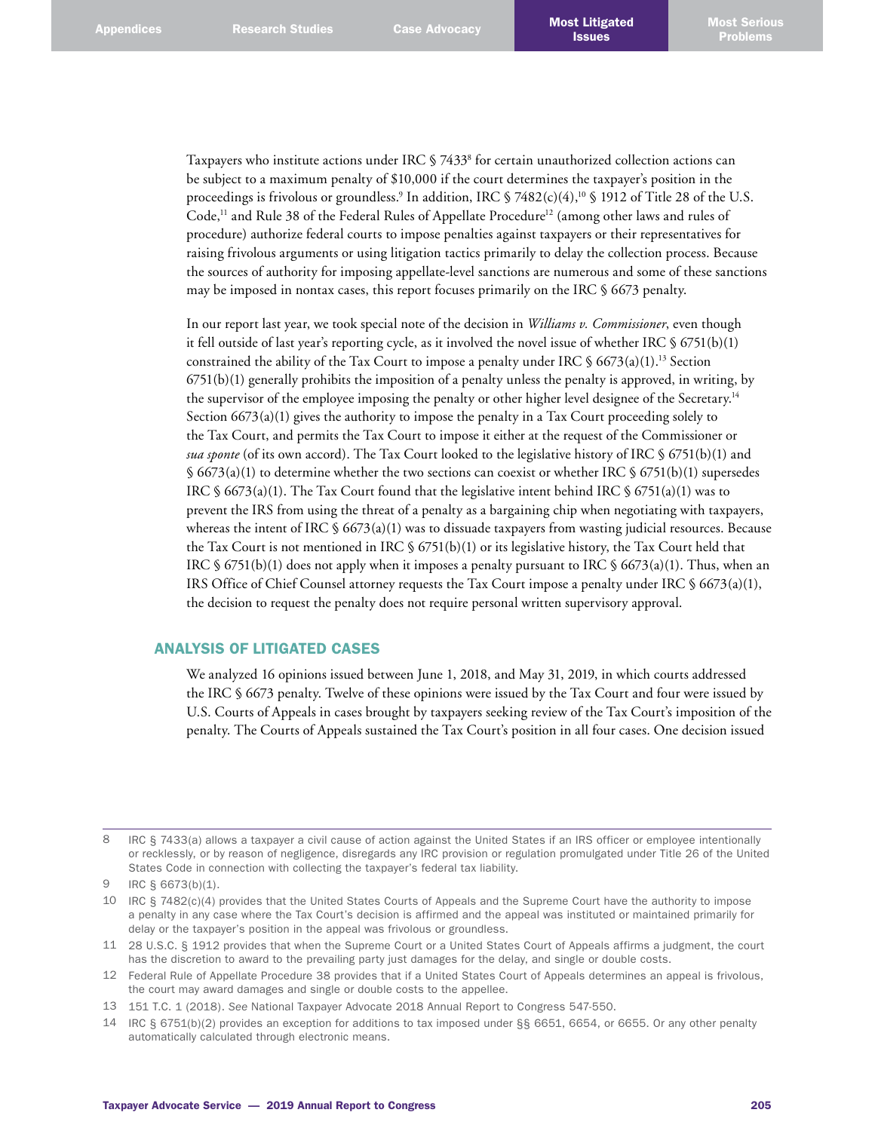Taxpayers who institute actions under IRC § 7433<sup>8</sup> for certain unauthorized collection actions can be subject to a maximum penalty of \$10,000 if the court determines the taxpayer's position in the proceedings is frivolous or groundless.<sup>9</sup> In addition, IRC § 7482(c)(4),<sup>10</sup> § 1912 of Title 28 of the U.S. Code,<sup>11</sup> and Rule 38 of the Federal Rules of Appellate Procedure<sup>12</sup> (among other laws and rules of procedure) authorize federal courts to impose penalties against taxpayers or their representatives for raising frivolous arguments or using litigation tactics primarily to delay the collection process. Because the sources of authority for imposing appellate-level sanctions are numerous and some of these sanctions may be imposed in nontax cases, this report focuses primarily on the IRC § 6673 penalty.

In our report last year, we took special note of the decision in *Williams v. Commissioner*, even though it fell outside of last year's reporting cycle, as it involved the novel issue of whether IRC  $\S$  6751(b)(1) constrained the ability of the Tax Court to impose a penalty under IRC  $\frac{1}{2}$  6673(a)(1).<sup>13</sup> Section  $6751(b)(1)$  generally prohibits the imposition of a penalty unless the penalty is approved, in writing, by the supervisor of the employee imposing the penalty or other higher level designee of the Secretary.<sup>14</sup> Section  $6673(a)(1)$  gives the authority to impose the penalty in a Tax Court proceeding solely to the Tax Court, and permits the Tax Court to impose it either at the request of the Commissioner or *sua sponte* (of its own accord). The Tax Court looked to the legislative history of IRC § 6751(b)(1) and  $§$  6673(a)(1) to determine whether the two sections can coexist or whether IRC § 6751(b)(1) supersedes IRC  $\frac{1}{2}$  6673(a)(1). The Tax Court found that the legislative intent behind IRC  $\frac{1}{2}$  6751(a)(1) was to prevent the IRS from using the threat of a penalty as a bargaining chip when negotiating with taxpayers, whereas the intent of IRC  $\frac{6673(a)(1)}{20}$  was to dissuade taxpayers from wasting judicial resources. Because the Tax Court is not mentioned in IRC  $\frac{1}{5}$  6751(b)(1) or its legislative history, the Tax Court held that IRC  $\S 6751(b)(1)$  does not apply when it imposes a penalty pursuant to IRC  $\S 6673(a)(1)$ . Thus, when an IRS Office of Chief Counsel attorney requests the Tax Court impose a penalty under IRC § 6673(a)(1), the decision to request the penalty does not require personal written supervisory approval.

## ANALYSIS OF LITIGATED CASES

We analyzed 16 opinions issued between June 1, 2018, and May 31, 2019, in which courts addressed the IRC § 6673 penalty. Twelve of these opinions were issued by the Tax Court and four were issued by U.S. Courts of Appeals in cases brought by taxpayers seeking review of the Tax Court's imposition of the penalty. The Courts of Appeals sustained the Tax Court's position in all four cases. One decision issued

8 IRC § 7433(a) allows a taxpayer a civil cause of action against the United States if an IRS officer or employee intentionally or recklessly, or by reason of negligence, disregards any IRC provision or regulation promulgated under Title 26 of the United States Code in connection with collecting the taxpayer's federal tax liability.

10 IRC § 7482(c)(4) provides that the United States Courts of Appeals and the Supreme Court have the authority to impose a penalty in any case where the Tax Court's decision is affirmed and the appeal was instituted or maintained primarily for delay or the taxpayer's position in the appeal was frivolous or groundless.

11 28 U.S.C. § 1912 provides that when the Supreme Court or a United States Court of Appeals affirms a judgment, the court has the discretion to award to the prevailing party just damages for the delay, and single or double costs.

14 IRC § 6751(b)(2) provides an exception for additions to tax imposed under §§ 6651, 6654, or 6655. Or any other penalty automatically calculated through electronic means.

<sup>9</sup> IRC § 6673(b)(1).

<sup>12</sup> Federal Rule of Appellate Procedure 38 provides that if a United States Court of Appeals determines an appeal is frivolous, the court may award damages and single or double costs to the appellee.

<sup>13</sup> 151 T.C. 1 (2018). *See* National Taxpayer Advocate 2018 Annual Report to Congress 547-550.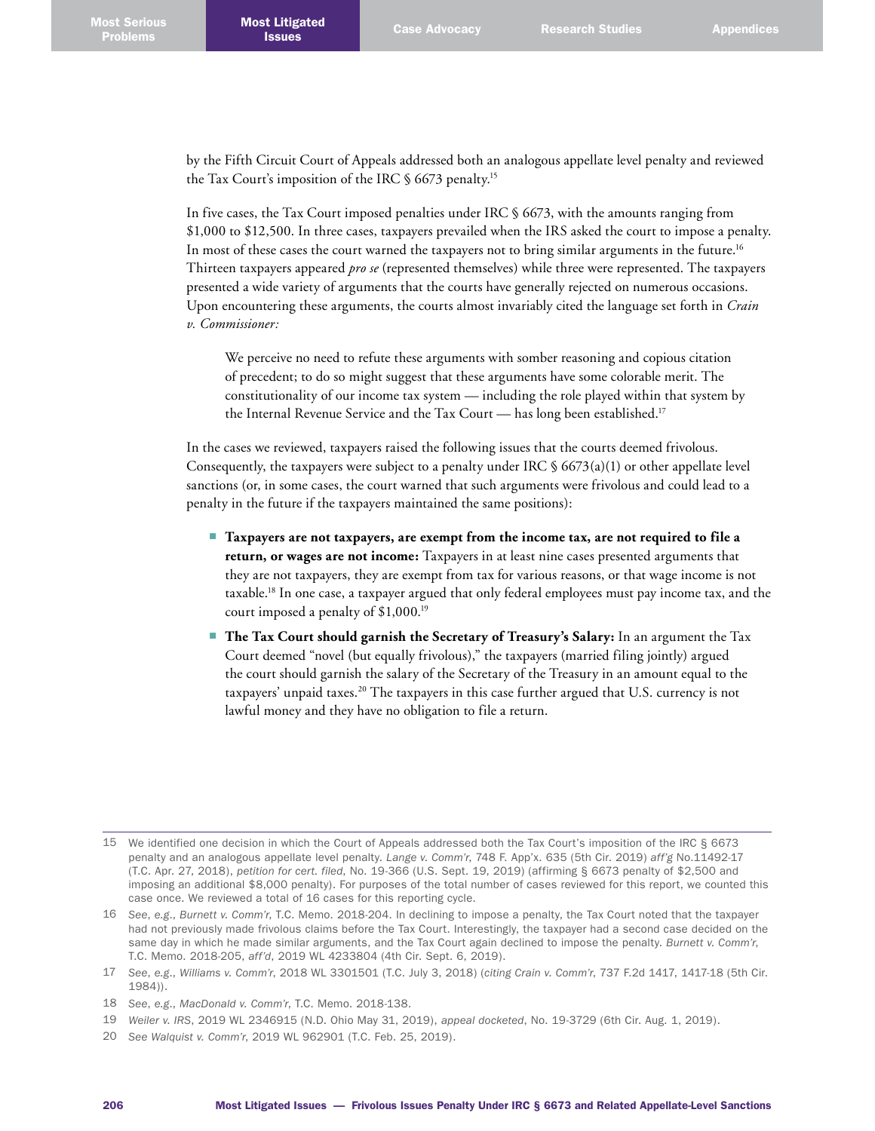by the Fifth Circuit Court of Appeals addressed both an analogous appellate level penalty and reviewed the Tax Court's imposition of the IRC § 6673 penalty. 15

In five cases, the Tax Court imposed penalties under IRC § 6673, with the amounts ranging from \$1,000 to \$12,500. In three cases, taxpayers prevailed when the IRS asked the court to impose a penalty. In most of these cases the court warned the taxpayers not to bring similar arguments in the future. 16 Thirteen taxpayers appeared *pro se* (represented themselves) while three were represented. The taxpayers presented a wide variety of arguments that the courts have generally rejected on numerous occasions. Upon encountering these arguments, the courts almost invariably cited the language set forth in *Crain v. Commissioner:*

We perceive no need to refute these arguments with somber reasoning and copious citation of precedent; to do so might suggest that these arguments have some colorable merit. The constitutionality of our income tax system — including the role played within that system by the Internal Revenue Service and the Tax Court — has long been established. 17

In the cases we reviewed, taxpayers raised the following issues that the courts deemed frivolous. Consequently, the taxpayers were subject to a penalty under IRC  $\frac{6673(a)(1)}{20}$  or other appellate level sanctions (or, in some cases, the court warned that such arguments were frivolous and could lead to a penalty in the future if the taxpayers maintained the same positions):

- **Taxpayers are not taxpayers, are exempt from the income tax, are not required to file a return, or wages are not income:** Taxpayers in at least nine cases presented arguments that they are not taxpayers, they are exempt from tax for various reasons, or that wage income is not taxable. 18 In one case, a taxpayer argued that only federal employees must pay income tax, and the court imposed a penalty of \$1,000. 19
- **The Tax Court should garnish the Secretary of Treasury's Salary:** In an argument the Tax Court deemed "novel (but equally frivolous)," the taxpayers (married filing jointly) argued the court should garnish the salary of the Secretary of the Treasury in an amount equal to the taxpayers' unpaid taxes. 20 The taxpayers in this case further argued that U.S. currency is not lawful money and they have no obligation to file a return.

- 19 *Weiler v. IRS*, 2019 WL 2346915 (N.D. Ohio May 31, 2019), *appeal docketed*, No. 19-3729 (6th Cir. Aug. 1, 2019).
- 20 *See Walquist v. Comm'r*, 2019 WL 962901 (T.C. Feb. 25, 2019).

<sup>15</sup> We identified one decision in which the Court of Appeals addressed both the Tax Court's imposition of the IRC § 6673 penalty and an analogous appellate level penalty. *Lange v. Comm'r*, 748 F. App'x. 635 (5th Cir. 2019) *aff'g* No.11492-17 (T.C. Apr. 27, 2018), *petition for cert. filed*, No. 19-366 (U.S. Sept. 19, 2019) (affirming § 6673 penalty of \$2,500 and imposing an additional \$8,000 penalty). For purposes of the total number of cases reviewed for this report, we counted this case once. We reviewed a total of 16 cases for this reporting cycle.

<sup>16</sup> *See*, *e.g*., *Burnett v. Comm'r*, T.C. Memo. 2018-204. In declining to impose a penalty, the Tax Court noted that the taxpayer had not previously made frivolous claims before the Tax Court. Interestingly, the taxpayer had a second case decided on the same day in which he made similar arguments, and the Tax Court again declined to impose the penalty. *Burnett v. Comm'r*, T.C. Memo. 2018-205, *aff'd*, 2019 WL 4233804 (4th Cir. Sept. 6, 2019).

<sup>17</sup> *See*, *e.g*., *Williams v. Comm'r*, 2018 WL 3301501 (T.C. July 3, 2018) (*citing Crain v. Comm'r*, 737 F.2d 1417, 1417-18 (5th Cir. 1984)).

<sup>18</sup> *See*, *e.g*., *MacDonald v. Comm'r*, T.C. Memo. 2018-138.